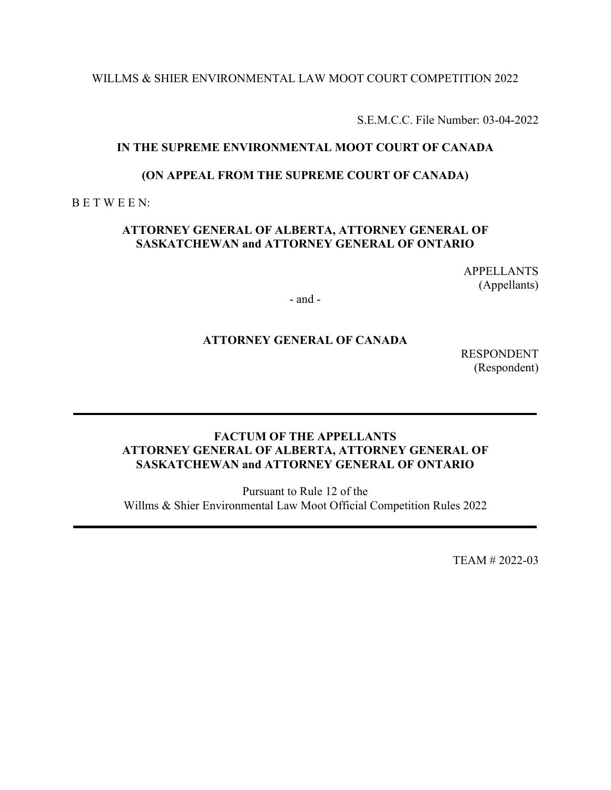# WILLMS & SHIER ENVIRONMENTAL LAW MOOT COURT COMPETITION 2022

S.E.M.C.C. File Number: 03-04-2022

## **IN THE SUPREME ENVIRONMENTAL MOOT COURT OF CANADA**

### **(ON APPEAL FROM THE SUPREME COURT OF CANADA)**

B E T W E E N:

# **ATTORNEY GENERAL OF ALBERTA, ATTORNEY GENERAL OF SASKATCHEWAN and ATTORNEY GENERAL OF ONTARIO**

APPELLANTS (Appellants)

- and -

## **ATTORNEY GENERAL OF CANADA**

RESPONDENT (Respondent)

## **FACTUM OF THE APPELLANTS ATTORNEY GENERAL OF ALBERTA, ATTORNEY GENERAL OF SASKATCHEWAN and ATTORNEY GENERAL OF ONTARIO**

Pursuant to Rule 12 of the Willms & Shier Environmental Law Moot Official Competition Rules 2022

TEAM # 2022-03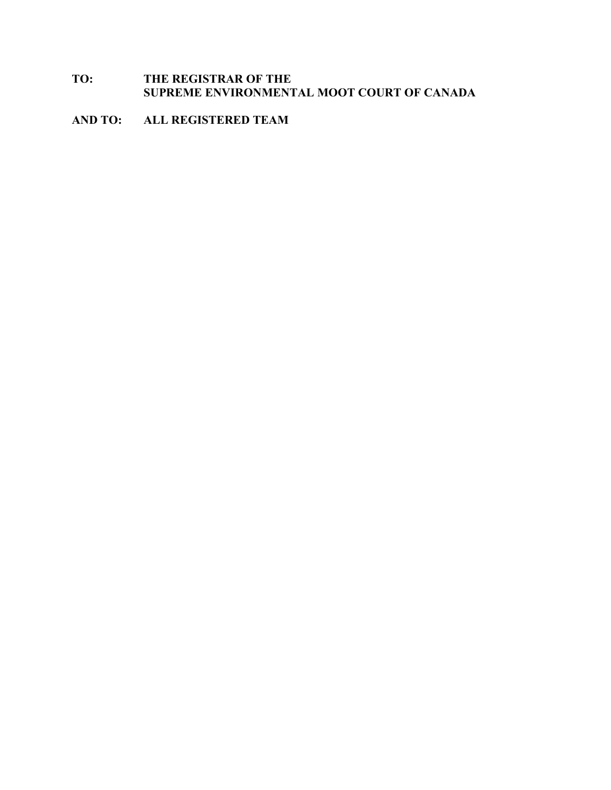# **TO: THE REGISTRAR OF THE SUPREME ENVIRONMENTAL MOOT COURT OF CANADA**

# **AND TO: ALL REGISTERED TEAM**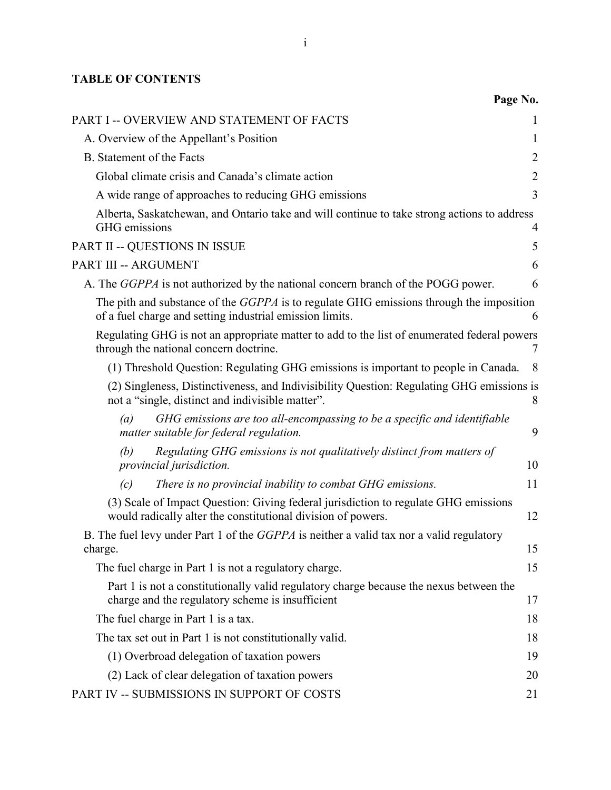# **TABLE OF CONTENTS**

| Page No.                                                                                                                                                   |                |
|------------------------------------------------------------------------------------------------------------------------------------------------------------|----------------|
| PART I -- OVERVIEW AND STATEMENT OF FACTS                                                                                                                  | 1              |
| A. Overview of the Appellant's Position                                                                                                                    | 1              |
| B. Statement of the Facts                                                                                                                                  | $\overline{2}$ |
| Global climate crisis and Canada's climate action                                                                                                          | $\overline{2}$ |
| A wide range of approaches to reducing GHG emissions                                                                                                       | 3              |
| Alberta, Saskatchewan, and Ontario take and will continue to take strong actions to address<br>GHG emissions                                               | 4              |
| PART II -- QUESTIONS IN ISSUE                                                                                                                              | 5              |
| PART III -- ARGUMENT                                                                                                                                       | 6              |
| A. The <i>GGPPA</i> is not authorized by the national concern branch of the POGG power.                                                                    | 6              |
| The pith and substance of the <i>GGPPA</i> is to regulate GHG emissions through the imposition<br>of a fuel charge and setting industrial emission limits. | 6              |
| Regulating GHG is not an appropriate matter to add to the list of enumerated federal powers<br>through the national concern doctrine.                      | 7              |
| (1) Threshold Question: Regulating GHG emissions is important to people in Canada.                                                                         | 8              |
| (2) Singleness, Distinctiveness, and Indivisibility Question: Regulating GHG emissions is<br>not a "single, distinct and indivisible matter".              | 8              |
| (a)<br>GHG emissions are too all-encompassing to be a specific and identifiable<br>matter suitable for federal regulation.                                 | 9              |
| Regulating GHG emissions is not qualitatively distinct from matters of<br>(b)<br>provincial jurisdiction.                                                  | 10             |
| There is no provincial inability to combat GHG emissions.<br>(c)                                                                                           | 11             |
| (3) Scale of Impact Question: Giving federal jurisdiction to regulate GHG emissions<br>would radically alter the constitutional division of powers.        | 12             |
| B. The fuel levy under Part 1 of the GGPPA is neither a valid tax nor a valid regulatory<br>charge.                                                        | 15             |
| The fuel charge in Part 1 is not a regulatory charge.                                                                                                      | 15             |
| Part 1 is not a constitutionally valid regulatory charge because the nexus between the<br>charge and the regulatory scheme is insufficient                 | 17             |
| The fuel charge in Part 1 is a tax.                                                                                                                        | 18             |
| The tax set out in Part 1 is not constitutionally valid.                                                                                                   | 18             |
| (1) Overbroad delegation of taxation powers                                                                                                                | 19             |
| (2) Lack of clear delegation of taxation powers                                                                                                            | 20             |
| PART IV -- SUBMISSIONS IN SUPPORT OF COSTS                                                                                                                 | 21             |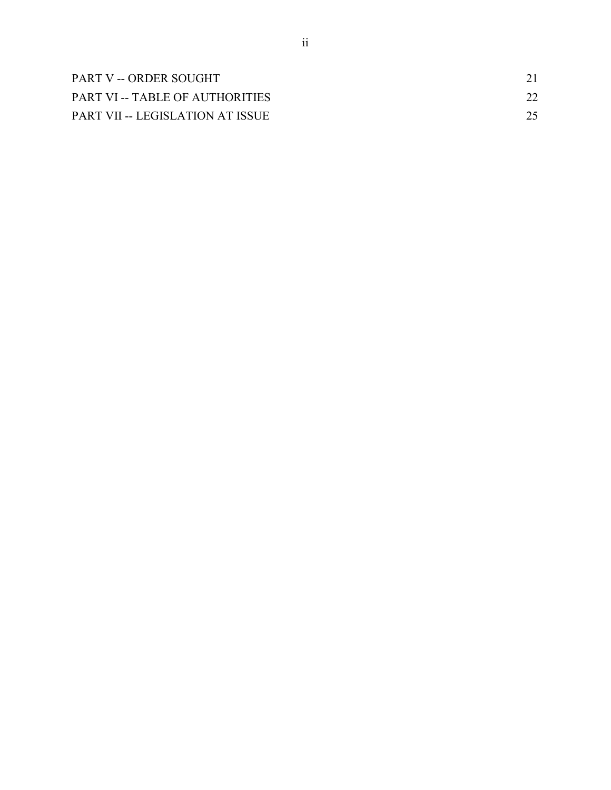| PART V -- ORDER SOUGHT           |  |
|----------------------------------|--|
| PART VI -- TABLE OF AUTHORITIES  |  |
| PART VII -- LEGISLATION AT ISSUE |  |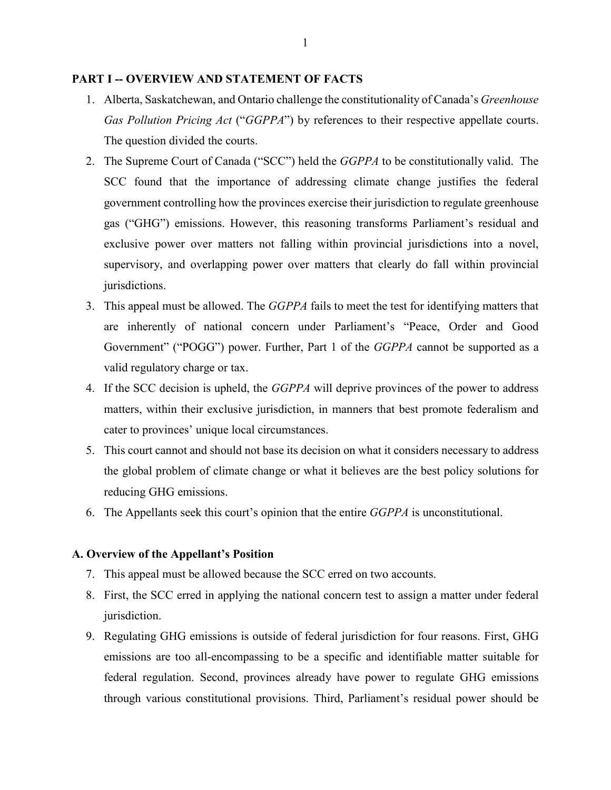### <span id="page-4-0"></span>**PART I -- OVERVIEW AND STATEMENT OF FACTS**

- 1. Alberta, Saskatchewan, and Ontario challenge the constitutionality of Canada's *Greenhouse Gas Pollution Pricing Act* ("*GGPPA*") by references to their respective appellate courts. The question divided the courts.
- 2. The Supreme Court of Canada ("SCC") held the *GGPPA* to be constitutionally valid. The SCC found that the importance of addressing climate change justifies the federal government controlling how the provinces exercise their jurisdiction to regulate greenhouse gas ("GHG") emissions. However, this reasoning transforms Parliament's residual and exclusive power over matters not falling within provincial jurisdictions into a novel, supervisory, and overlapping power over matters that clearly do fall within provincial jurisdictions.
- 3. This appeal must be allowed. The *GGPPA* fails to meet the test for identifying matters that are inherently of national concern under Parliament's "Peace, Order and Good Government" ("POGG") power. Further, Part 1 of the *GGPPA* cannot be supported as a valid regulatory charge or tax.
- 4. If the SCC decision is upheld, the *GGPPA* will deprive provinces of the power to address matters, within their exclusive jurisdiction, in manners that best promote federalism and cater to provinces' unique local circumstances.
- 5. This court cannot and should not base its decision on what it considers necessary to address the global problem of climate change or what it believes are the best policy solutions for reducing GHG emissions.
- 6. The Appellants seek this court's opinion that the entire *GGPPA* is unconstitutional.

## <span id="page-4-1"></span>**A. Overview of the Appellant's Position**

- 7. This appeal must be allowed because the SCC erred on two accounts.
- 8. First, the SCC erred in applying the national concern test to assign a matter under federal jurisdiction.
- 9. Regulating GHG emissions is outside of federal jurisdiction for four reasons. First, GHG emissions are too all-encompassing to be a specific and identifiable matter suitable for federal regulation. Second, provinces already have power to regulate GHG emissions through various constitutional provisions. Third, Parliament's residual power should be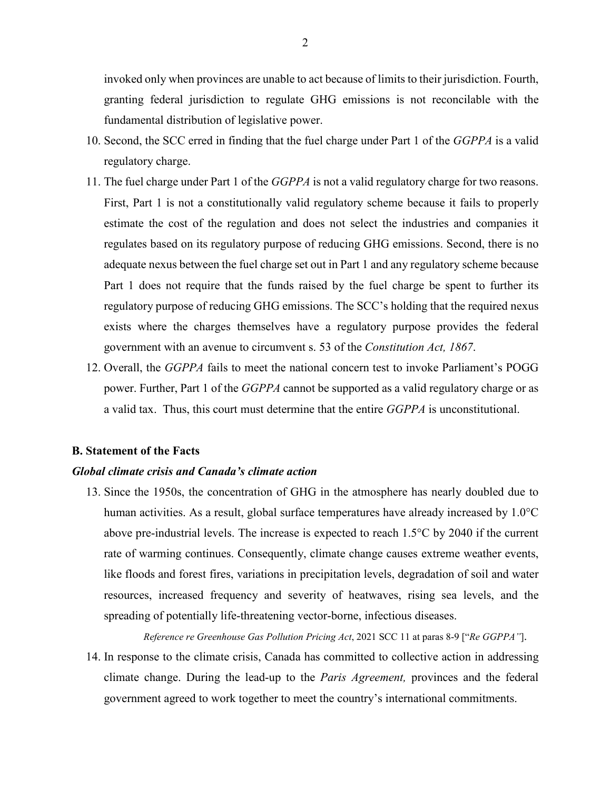invoked only when provinces are unable to act because of limits to their jurisdiction. Fourth, granting federal jurisdiction to regulate GHG emissions is not reconcilable with the fundamental distribution of legislative power.

- 10. Second, the SCC erred in finding that the fuel charge under Part 1 of the *GGPPA* is a valid regulatory charge.
- 11. The fuel charge under Part 1 of the *GGPPA* is not a valid regulatory charge for two reasons. First, Part 1 is not a constitutionally valid regulatory scheme because it fails to properly estimate the cost of the regulation and does not select the industries and companies it regulates based on its regulatory purpose of reducing GHG emissions. Second, there is no adequate nexus between the fuel charge set out in Part 1 and any regulatory scheme because Part 1 does not require that the funds raised by the fuel charge be spent to further its regulatory purpose of reducing GHG emissions. The SCC's holding that the required nexus exists where the charges themselves have a regulatory purpose provides the federal government with an avenue to circumvent s. 53 of the *Constitution Act, 1867*.
- 12. Overall, the *GGPPA* fails to meet the national concern test to invoke Parliament's POGG power. Further, Part 1 of the *GGPPA* cannot be supported as a valid regulatory charge or as a valid tax. Thus, this court must determine that the entire *GGPPA* is unconstitutional.

### <span id="page-5-0"></span>**B. Statement of the Facts**

### <span id="page-5-1"></span>*Global climate crisis and Canada's climate action*

13. Since the 1950s, the concentration of GHG in the atmosphere has nearly doubled due to human activities. As a result, global surface temperatures have already increased by 1.0°C above pre-industrial levels. The increase is expected to reach 1.5°C by 2040 if the current rate of warming continues. Consequently, climate change causes extreme weather events, like floods and forest fires, variations in precipitation levels, degradation of soil and water resources, increased frequency and severity of heatwaves, rising sea levels, and the spreading of potentially life-threatening vector-borne, infectious diseases.

*Reference re Greenhouse Gas Pollution Pricing Act*, 2021 SCC 11 at paras 8-9 ["*Re GGPPA"*].

14. In response to the climate crisis, Canada has committed to collective action in addressing climate change. During the lead-up to the *Paris Agreement,* provinces and the federal government agreed to work together to meet the country's international commitments.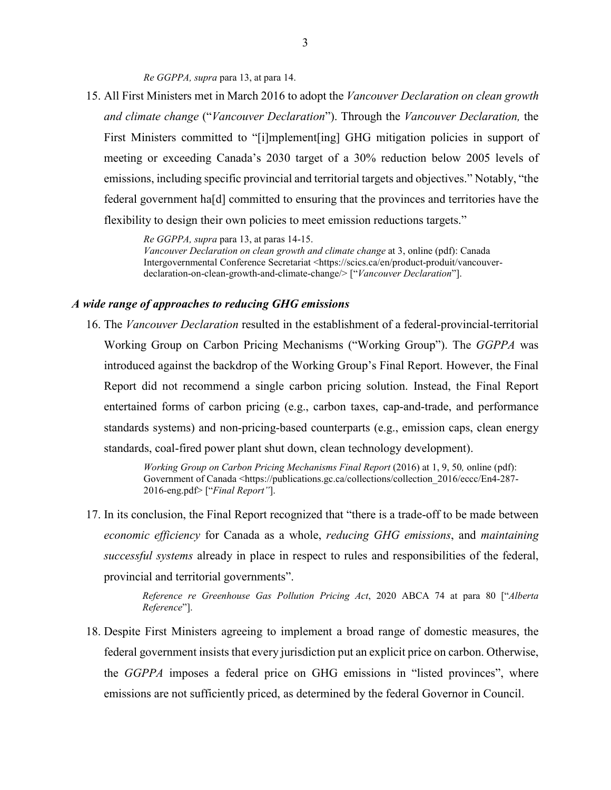*Re GGPPA, supra* para 13, at para 14.

15. All First Ministers met in March 2016 to adopt the *Vancouver Declaration on clean growth and climate change* ("*Vancouver Declaration*"). Through the *Vancouver Declaration,* the First Ministers committed to "[i]mplement[ing] GHG mitigation policies in support of meeting or exceeding Canada's 2030 target of a 30% reduction below 2005 levels of emissions, including specific provincial and territorial targets and objectives." Notably, "the federal government ha[d] committed to ensuring that the provinces and territories have the flexibility to design their own policies to meet emission reductions targets."

> *Re GGPPA, supra* para 13, at paras 14-15. *Vancouver Declaration on clean growth and climate change* at 3, online (pdf): Canada Intergovernmental Conference Secretariat <https://scics.ca/en/product-produit/vancouverdeclaration-on-clean-growth-and-climate-change/> ["*Vancouver Declaration*"].

### <span id="page-6-0"></span>*A wide range of approaches to reducing GHG emissions*

16. The *Vancouver Declaration* resulted in the establishment of a federal-provincial-territorial Working Group on Carbon Pricing Mechanisms ("Working Group"). The *GGPPA* was introduced against the backdrop of the Working Group's Final Report. However, the Final Report did not recommend a single carbon pricing solution. Instead, the Final Report entertained forms of carbon pricing (e.g., carbon taxes, cap-and-trade, and performance standards systems) and non-pricing-based counterparts (e.g., emission caps, clean energy standards, coal-fired power plant shut down, clean technology development).

> *Working Group on Carbon Pricing Mechanisms Final Report (2016)* at 1, 9, 50, online (pdf): Government of Canada <https://publications.gc.ca/collections/collection\_2016/eccc/En4-287-2016-eng.pdf> ["*Final Report"*].

17. In its conclusion, the Final Report recognized that "there is a trade‑off to be made between *economic efficiency* for Canada as a whole, *reducing GHG emissions*, and *maintaining successful systems* already in place in respect to rules and responsibilities of the federal, provincial and territorial governments".

> *Reference re Greenhouse Gas Pollution Pricing Act*, 2020 ABCA 74 at para 80 ["*Alberta Reference*"].

18. Despite First Ministers agreeing to implement a broad range of domestic measures, the federal government insists that every jurisdiction put an explicit price on carbon. Otherwise, the *GGPPA* imposes a federal price on GHG emissions in "listed provinces", where emissions are not sufficiently priced, as determined by the federal Governor in Council.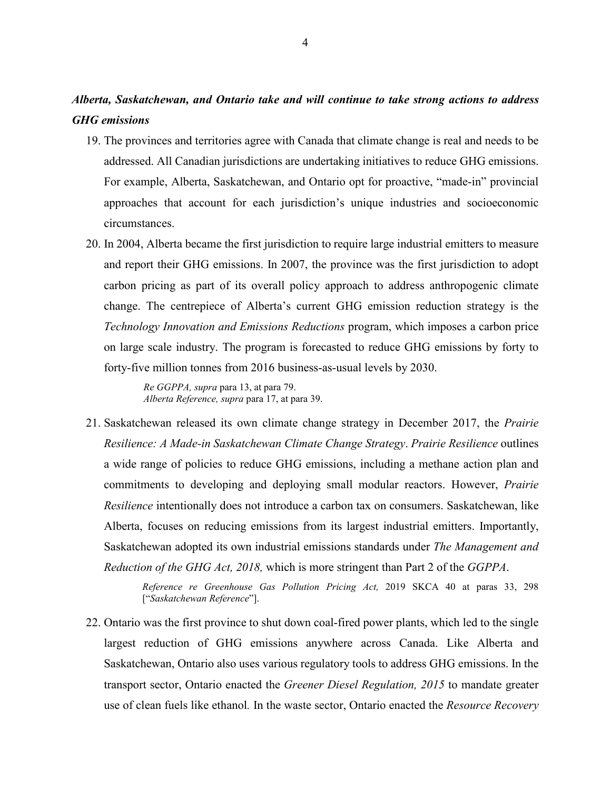# <span id="page-7-0"></span>*Alberta, Saskatchewan, and Ontario take and will continue to take strong actions to address GHG emissions*

- 19. The provinces and territories agree with Canada that climate change is real and needs to be addressed. All Canadian jurisdictions are undertaking initiatives to reduce GHG emissions. For example, Alberta, Saskatchewan, and Ontario opt for proactive, "made-in" provincial approaches that account for each jurisdiction's unique industries and socioeconomic circumstances.
- 20. In 2004, Alberta became the first jurisdiction to require large industrial emitters to measure and report their GHG emissions. In 2007, the province was the first jurisdiction to adopt carbon pricing as part of its overall policy approach to address anthropogenic climate change. The centrepiece of Alberta's current GHG emission reduction strategy is the *Technology Innovation and Emissions Reductions* program, which imposes a carbon price on large scale industry. The program is forecasted to reduce GHG emissions by forty to forty-five million tonnes from 2016 business-as-usual levels by 2030.

*Re GGPPA, supra* para 13, at para 79. *Alberta Reference, supra* para 17, at para 39.

21. Saskatchewan released its own climate change strategy in December 2017, the *Prairie Resilience: A Made-in Saskatchewan Climate Change Strategy*. *Prairie Resilience* outlines a wide range of policies to reduce GHG emissions, including a methane action plan and commitments to developing and deploying small modular reactors. However, *Prairie Resilience* intentionally does not introduce a carbon tax on consumers. Saskatchewan, like Alberta, focuses on reducing emissions from its largest industrial emitters. Importantly, Saskatchewan adopted its own industrial emissions standards under *The Management and Reduction of the GHG Act, 2018,* which is more stringent than Part 2 of the *GGPPA*.

> *Reference re Greenhouse Gas Pollution Pricing Act,* 2019 SKCA 40 at paras 33, 298 ["*Saskatchewan Reference*"].

22. Ontario was the first province to shut down coal-fired power plants, which led to the single largest reduction of GHG emissions anywhere across Canada. Like Alberta and Saskatchewan, Ontario also uses various regulatory tools to address GHG emissions. In the transport sector, Ontario enacted the *Greener Diesel Regulation, 2015* to mandate greater use of clean fuels like ethanol*.* In the waste sector, Ontario enacted the *Resource Recovery*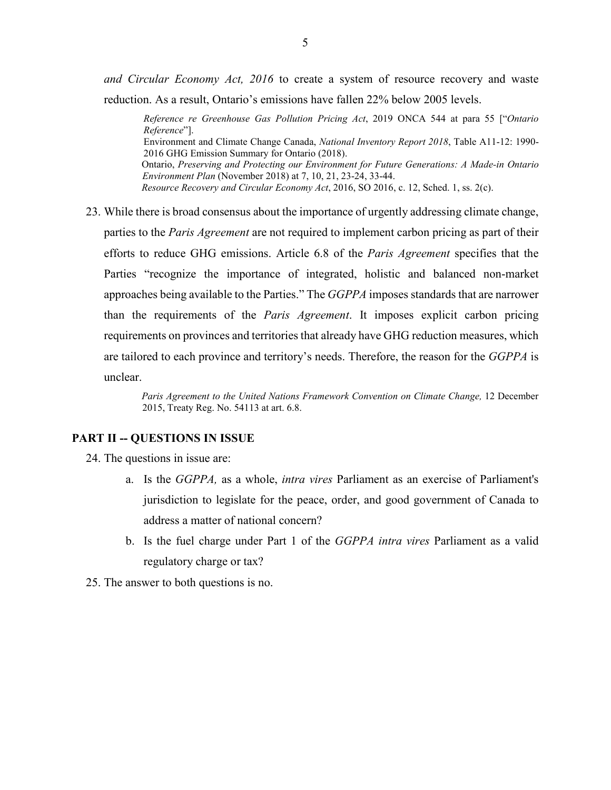*and Circular Economy Act, 2016* to create a system of resource recovery and waste reduction. As a result, Ontario's emissions have fallen 22% below 2005 levels.

*Reference re Greenhouse Gas Pollution Pricing Act*, 2019 ONCA 544 at para 55 ["*Ontario Reference*"]. Environment and Climate Change Canada, *National Inventory Report 2018*, Table A11-12: 1990- 2016 GHG Emission Summary for Ontario (2018). Ontario, *Preserving and Protecting our Environment for Future Generations: A Made-in Ontario Environment Plan* (November 2018) at 7, 10, 21, 23-24, 33-44. *Resource Recovery and Circular Economy Act*, 2016, SO 2016, c. 12, Sched. 1, ss. 2(c).

23. While there is broad consensus about the importance of urgently addressing climate change, parties to the *Paris Agreement* are not required to implement carbon pricing as part of their efforts to reduce GHG emissions. Article 6.8 of the *Paris Agreement* specifies that the Parties "recognize the importance of integrated, holistic and balanced non-market approaches being available to the Parties." The *GGPPA* imposes standards that are narrower than the requirements of the *Paris Agreement*. It imposes explicit carbon pricing requirements on provinces and territories that already have GHG reduction measures, which are tailored to each province and territory's needs. Therefore, the reason for the *GGPPA* is unclear.

> *Paris Agreement to the United Nations Framework Convention on Climate Change,* 12 December 2015, Treaty Reg. No. 54113 at art. 6.8.

### <span id="page-8-0"></span>**PART II -- QUESTIONS IN ISSUE**

24. The questions in issue are:

- a. Is the *GGPPA,* as a whole, *intra vires* Parliament as an exercise of Parliament's jurisdiction to legislate for the peace, order, and good government of Canada to address a matter of national concern?
- b. Is the fuel charge under Part 1 of the *GGPPA intra vires* Parliament as a valid regulatory charge or tax?
- 25. The answer to both questions is no.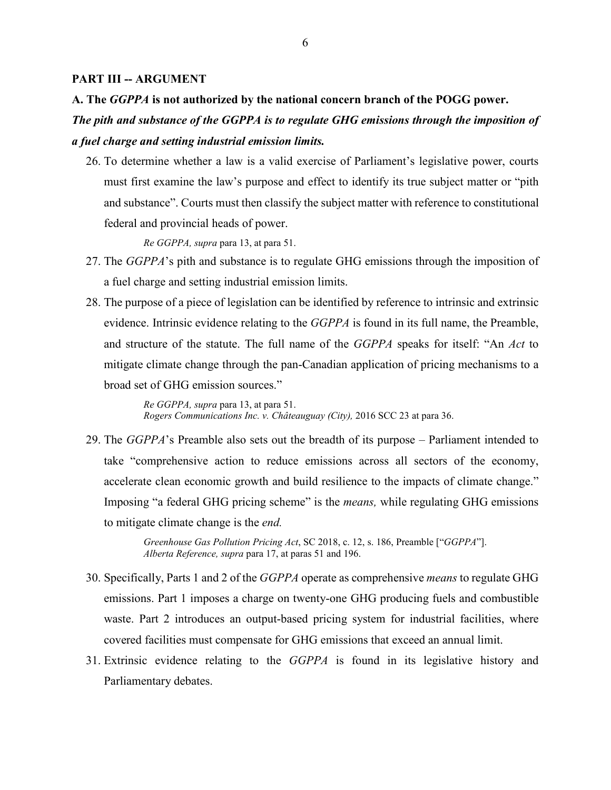### <span id="page-9-0"></span>**PART III -- ARGUMENT**

### <span id="page-9-1"></span>**A. The** *GGPPA* **is not authorized by the national concern branch of the POGG power.**

# <span id="page-9-2"></span>*The pith and substance of the GGPPA is to regulate GHG emissions through the imposition of a fuel charge and setting industrial emission limits.*

26. To determine whether a law is a valid exercise of Parliament's legislative power, courts must first examine the law's purpose and effect to identify its true subject matter or "pith and substance". Courts must then classify the subject matter with reference to constitutional federal and provincial heads of power.

*Re GGPPA, supra* para 13, at para 51.

- 27. The *GGPPA*'s pith and substance is to regulate GHG emissions through the imposition of a fuel charge and setting industrial emission limits.
- 28. The purpose of a piece of legislation can be identified by reference to intrinsic and extrinsic evidence. Intrinsic evidence relating to the *GGPPA* is found in its full name, the Preamble, and structure of the statute. The full name of the *GGPPA* speaks for itself: "An *Act* to mitigate climate change through the pan-Canadian application of pricing mechanisms to a broad set of GHG emission sources."

*Re GGPPA, supra* para 13, at para 51. *Rogers Communications Inc. v. Châteauguay (City),* 2016 SCC 23 at para 36.

29. The *GGPPA*'s Preamble also sets out the breadth of its purpose – Parliament intended to take "comprehensive action to reduce emissions across all sectors of the economy, accelerate clean economic growth and build resilience to the impacts of climate change." Imposing "a federal GHG pricing scheme" is the *means,* while regulating GHG emissions to mitigate climate change is the *end.* 

> *Greenhouse Gas Pollution Pricing Act*, SC 2018, c. 12, s. 186, Preamble ["*GGPPA*"]. *Alberta Reference, supra* para 17, at paras 51 and 196.

- 30. Specifically, Parts 1 and 2 of the *GGPPA* operate as comprehensive *means* to regulate GHG emissions. Part 1 imposes a charge on twenty-one GHG producing fuels and combustible waste. Part 2 introduces an output-based pricing system for industrial facilities, where covered facilities must compensate for GHG emissions that exceed an annual limit.
- 31. Extrinsic evidence relating to the *GGPPA* is found in its legislative history and Parliamentary debates.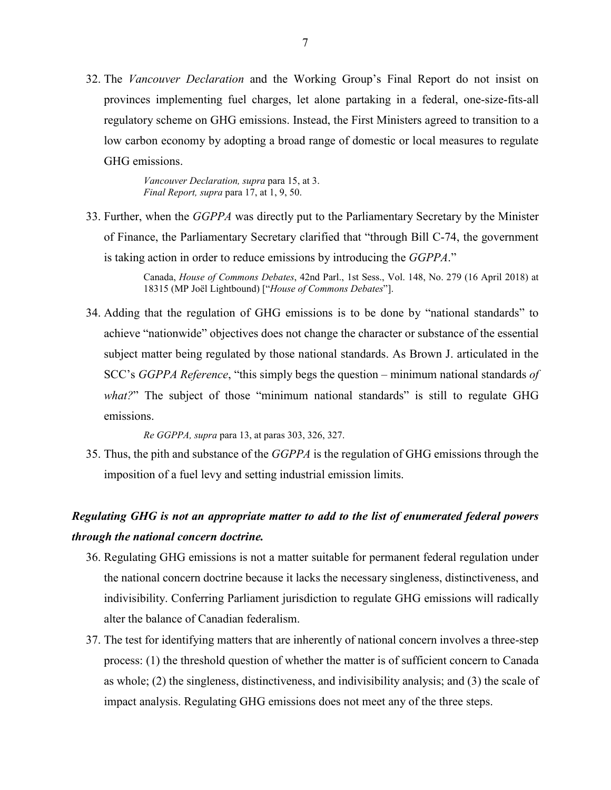32. The *Vancouver Declaration* and the Working Group's Final Report do not insist on provinces implementing fuel charges, let alone partaking in a federal, one-size-fits-all regulatory scheme on GHG emissions. Instead, the First Ministers agreed to transition to a low carbon economy by adopting a broad range of domestic or local measures to regulate GHG emissions.

> *Vancouver Declaration, supra* para 15, at 3. *Final Report, supra* para 17, at 1, 9, 50.

33. Further, when the *GGPPA* was directly put to the Parliamentary Secretary by the Minister of Finance, the Parliamentary Secretary clarified that "through Bill C-74, the government is taking action in order to reduce emissions by introducing the *GGPPA*."

> Canada, *House of Commons Debates*, 42nd Parl., 1st Sess., Vol. 148, No. 279 (16 April 2018) at 18315 (MP Joël Lightbound) ["*House of Commons Debates*"].

34. Adding that the regulation of GHG emissions is to be done by "national standards" to achieve "nationwide" objectives does not change the character or substance of the essential subject matter being regulated by those national standards. As Brown J. articulated in the SCC's *GGPPA Reference*, "this simply begs the question – minimum national standards *of what?*" The subject of those "minimum national standards" is still to regulate GHG emissions.

*Re GGPPA, supra* para 13, at paras 303, 326, 327.

35. Thus, the pith and substance of the *GGPPA* is the regulation of GHG emissions through the imposition of a fuel levy and setting industrial emission limits.

# <span id="page-10-0"></span>*Regulating GHG is not an appropriate matter to add to the list of enumerated federal powers through the national concern doctrine.*

- 36. Regulating GHG emissions is not a matter suitable for permanent federal regulation under the national concern doctrine because it lacks the necessary singleness, distinctiveness, and indivisibility. Conferring Parliament jurisdiction to regulate GHG emissions will radically alter the balance of Canadian federalism.
- 37. The test for identifying matters that are inherently of national concern involves a three-step process: (1) the threshold question of whether the matter is of sufficient concern to Canada as whole; (2) the singleness, distinctiveness, and indivisibility analysis; and (3) the scale of impact analysis. Regulating GHG emissions does not meet any of the three steps.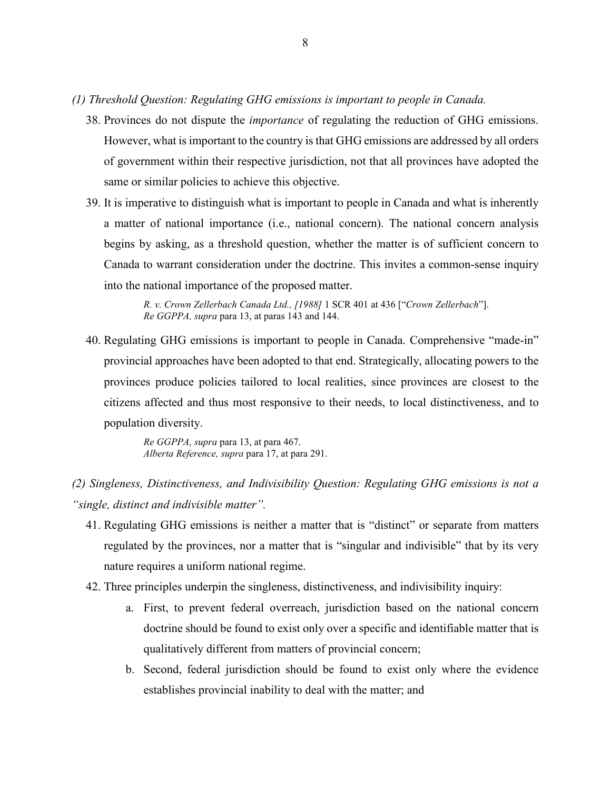- <span id="page-11-0"></span>*(1) Threshold Question: Regulating GHG emissions is important to people in Canada.* 
	- 38. Provinces do not dispute the *importance* of regulating the reduction of GHG emissions. However, what is important to the country is that GHG emissions are addressed by all orders of government within their respective jurisdiction, not that all provinces have adopted the same or similar policies to achieve this objective.
	- 39. It is imperative to distinguish what is important to people in Canada and what is inherently a matter of national importance (i.e., national concern). The national concern analysis begins by asking, as a threshold question, whether the matter is of sufficient concern to Canada to warrant consideration under the doctrine. This invites a common-sense inquiry into the national importance of the proposed matter.

*R. v. Crown Zellerbach Canada Ltd., [1988]* 1 SCR 401 at 436 ["*Crown Zellerbach*"]. *Re GGPPA, supra* para 13, at paras 143 and 144.

40. Regulating GHG emissions is important to people in Canada. Comprehensive "made-in" provincial approaches have been adopted to that end. Strategically, allocating powers to the provinces produce policies tailored to local realities, since provinces are closest to the citizens affected and thus most responsive to their needs, to local distinctiveness, and to population diversity.

> *Re GGPPA, supra* para 13, at para 467. *Alberta Reference, supra* para 17, at para 291.

<span id="page-11-1"></span>*(2) Singleness, Distinctiveness, and Indivisibility Question: Regulating GHG emissions is not a "single, distinct and indivisible matter".* 

- 41. Regulating GHG emissions is neither a matter that is "distinct" or separate from matters regulated by the provinces, nor a matter that is "singular and indivisible" that by its very nature requires a uniform national regime.
- 42. Three principles underpin the singleness, distinctiveness, and indivisibility inquiry:
	- a. First, to prevent federal overreach, jurisdiction based on the national concern doctrine should be found to exist only over a specific and identifiable matter that is qualitatively different from matters of provincial concern;
	- b. Second, federal jurisdiction should be found to exist only where the evidence establishes provincial inability to deal with the matter; and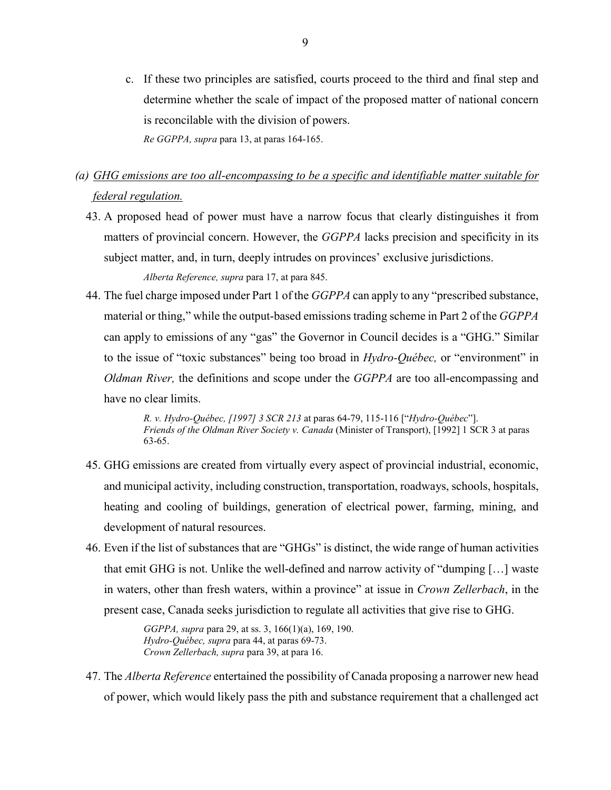c. If these two principles are satisfied, courts proceed to the third and final step and determine whether the scale of impact of the proposed matter of national concern is reconcilable with the division of powers. *Re GGPPA, supra* para 13, at paras 164-165.

# <span id="page-12-0"></span>*(a) GHG emissions are too all-encompassing to be a specific and identifiable matter suitable for federal regulation.*

43. A proposed head of power must have a narrow focus that clearly distinguishes it from matters of provincial concern. However, the *GGPPA* lacks precision and specificity in its subject matter, and, in turn, deeply intrudes on provinces' exclusive jurisdictions.

*Alberta Reference, supra* para 17, at para 845.

44. The fuel charge imposed under Part 1 of the *GGPPA* can apply to any "prescribed substance, material or thing," while the output-based emissions trading scheme in Part 2 of the *GGPPA* can apply to emissions of any "gas" the Governor in Council decides is a "GHG." Similar to the issue of "toxic substances" being too broad in *Hydro-Québec,* or "environment" in *Oldman River,* the definitions and scope under the *GGPPA* are too all-encompassing and have no clear limits.

> *R. v. Hydro-Québec, [1997] 3 SCR 213* at paras 64-79, 115-116 ["*Hydro-Québec*"]. *Friends of the Oldman River Society v. Canada* (Minister of Transport), [1992] 1 SCR 3 at paras 63-65.

- 45. GHG emissions are created from virtually every aspect of provincial industrial, economic, and municipal activity, including construction, transportation, roadways, schools, hospitals, heating and cooling of buildings, generation of electrical power, farming, mining, and development of natural resources.
- 46. Even if the list of substances that are "GHGs" is distinct, the wide range of human activities that emit GHG is not. Unlike the well-defined and narrow activity of "dumping […] waste in waters, other than fresh waters, within a province" at issue in *Crown Zellerbach*, in the present case, Canada seeks jurisdiction to regulate all activities that give rise to GHG.

*GGPPA, supra* para 29, at ss. 3, 166(1)(a), 169, 190. *Hydro-Québec, supra* para 44, at paras 69-73. *Crown Zellerbach, supra* para 39, at para 16.

47. The *Alberta Reference* entertained the possibility of Canada proposing a narrower new head of power, which would likely pass the pith and substance requirement that a challenged act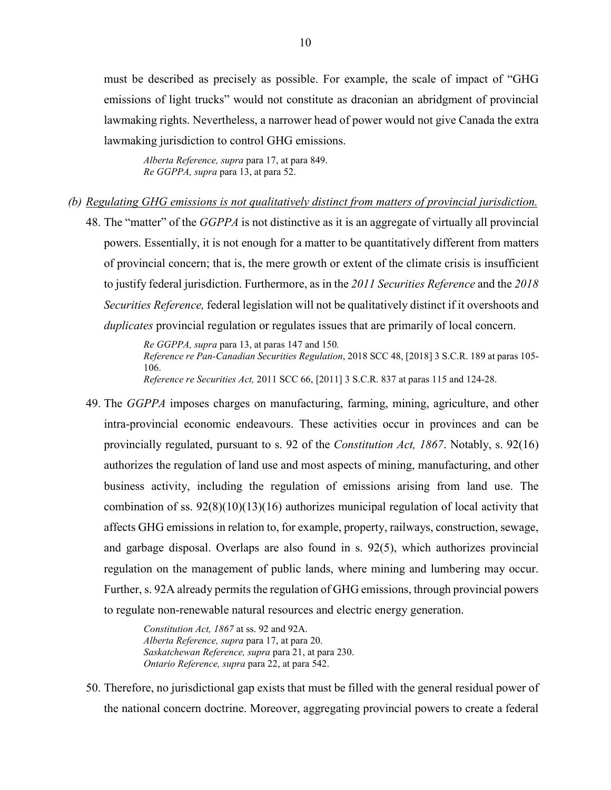must be described as precisely as possible. For example, the scale of impact of "GHG emissions of light trucks" would not constitute as draconian an abridgment of provincial lawmaking rights. Nevertheless, a narrower head of power would not give Canada the extra lawmaking jurisdiction to control GHG emissions.

*Alberta Reference, supra* para 17, at para 849. *Re GGPPA, supra* para 13, at para 52.

#### <span id="page-13-0"></span>*(b) Regulating GHG emissions is not qualitatively distinct from matters of provincial jurisdiction.*

48. The "matter" of the *GGPPA* is not distinctive as it is an aggregate of virtually all provincial powers. Essentially, it is not enough for a matter to be quantitatively different from matters of provincial concern; that is, the mere growth or extent of the climate crisis is insufficient to justify federal jurisdiction. Furthermore, as in the *2011 Securities Reference* and the *2018 Securities Reference,* federal legislation will not be qualitatively distinct if it overshoots and *duplicates* provincial regulation or regulates issues that are primarily of local concern.

> *Re GGPPA, supra* para 13, at paras 147 and 150*. Reference re Pan-Canadian Securities Regulation*, 2018 SCC 48, [2018] 3 S.C.R. 189 at paras 105- 106. *Reference re Securities Act,* 2011 SCC 66, [2011] 3 S.C.R. 837 at paras 115 and 124-28.

49. The *GGPPA* imposes charges on manufacturing, farming, mining, agriculture, and other intra-provincial economic endeavours. These activities occur in provinces and can be provincially regulated, pursuant to s. 92 of the *Constitution Act, 1867*. Notably, s. 92(16) authorizes the regulation of land use and most aspects of mining, manufacturing, and other business activity, including the regulation of emissions arising from land use. The combination of ss. 92(8)(10)(13)(16) authorizes municipal regulation of local activity that affects GHG emissions in relation to, for example, property, railways, construction, sewage, and garbage disposal. Overlaps are also found in s. 92(5), which authorizes provincial regulation on the management of public lands, where mining and lumbering may occur. Further, s. 92A already permits the regulation of GHG emissions, through provincial powers to regulate non-renewable natural resources and electric energy generation.

> *Constitution Act, 1867* at ss. 92 and 92A. *Alberta Reference, supra* para 17, at para 20. *Saskatchewan Reference, supra* para 21, at para 230. *Ontario Reference, supra* para 22, at para 542.

50. Therefore, no jurisdictional gap exists that must be filled with the general residual power of the national concern doctrine. Moreover, aggregating provincial powers to create a federal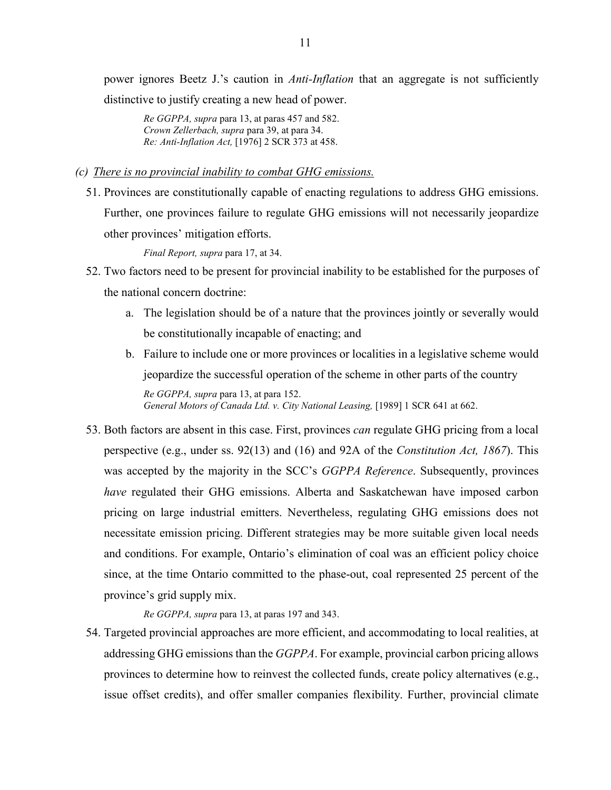power ignores Beetz J.'s caution in *Anti-Inflation* that an aggregate is not sufficiently distinctive to justify creating a new head of power.

*Re GGPPA, supra* para 13, at paras 457 and 582. *Crown Zellerbach, supra* para 39, at para 34. *Re: Anti-Inflation Act,* [1976] 2 SCR 373 at 458.

<span id="page-14-0"></span>*(c) There is no provincial inability to combat GHG emissions.* 

51. Provinces are constitutionally capable of enacting regulations to address GHG emissions. Further, one provinces failure to regulate GHG emissions will not necessarily jeopardize other provinces' mitigation efforts.

*Final Report, supra* para 17, at 34.

- 52. Two factors need to be present for provincial inability to be established for the purposes of the national concern doctrine:
	- a. The legislation should be of a nature that the provinces jointly or severally would be constitutionally incapable of enacting; and
	- b. Failure to include one or more provinces or localities in a legislative scheme would jeopardize the successful operation of the scheme in other parts of the country *Re GGPPA, supra* para 13, at para 152. General Motors of Canada Ltd. v. City National Leasing, [1989] 1 SCR 641 at 662.
- 53. Both factors are absent in this case. First, provinces *can* regulate GHG pricing from a local perspective (e.g., under ss. 92(13) and (16) and 92A of the *Constitution Act, 1867*). This was accepted by the majority in the SCC's *GGPPA Reference*. Subsequently, provinces *have* regulated their GHG emissions. Alberta and Saskatchewan have imposed carbon pricing on large industrial emitters. Nevertheless, regulating GHG emissions does not necessitate emission pricing. Different strategies may be more suitable given local needs and conditions. For example, Ontario's elimination of coal was an efficient policy choice since, at the time Ontario committed to the phase-out, coal represented 25 percent of the province's grid supply mix.

*Re GGPPA, supra* para 13, at paras 197 and 343.

54. Targeted provincial approaches are more efficient, and accommodating to local realities, at addressing GHG emissions than the *GGPPA*. For example, provincial carbon pricing allows provinces to determine how to reinvest the collected funds, create policy alternatives (e.g., issue offset credits), and offer smaller companies flexibility. Further, provincial climate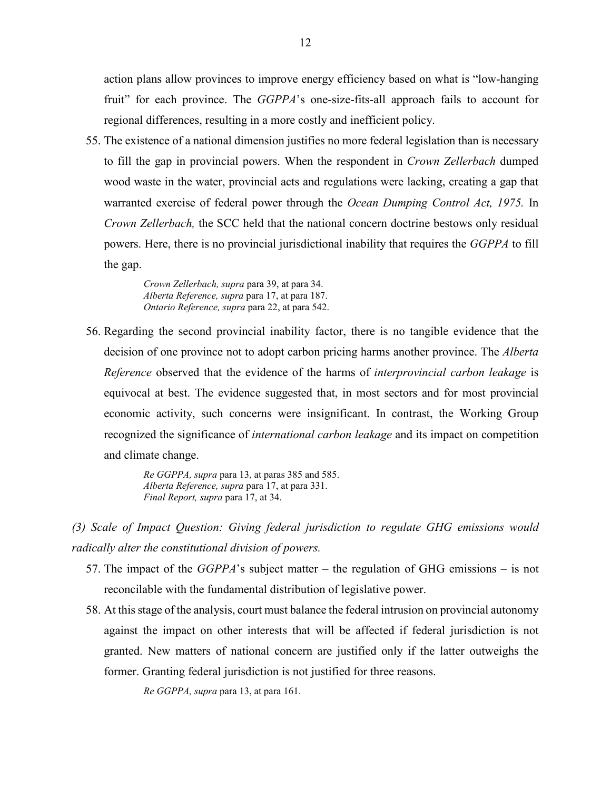action plans allow provinces to improve energy efficiency based on what is "low-hanging fruit" for each province. The *GGPPA*'s one-size-fits-all approach fails to account for regional differences, resulting in a more costly and inefficient policy.

55. The existence of a national dimension justifies no more federal legislation than is necessary to fill the gap in provincial powers. When the respondent in *Crown Zellerbach* dumped wood waste in the water, provincial acts and regulations were lacking, creating a gap that warranted exercise of federal power through the *Ocean Dumping Control Act, 1975.* In *Crown Zellerbach,* the SCC held that the national concern doctrine bestows only residual powers. Here, there is no provincial jurisdictional inability that requires the *GGPPA* to fill the gap.

> *Crown Zellerbach, supra* para 39, at para 34. *Alberta Reference, supra* para 17, at para 187. *Ontario Reference, supra* para 22, at para 542.

56. Regarding the second provincial inability factor, there is no tangible evidence that the decision of one province not to adopt carbon pricing harms another province. The *Alberta Reference* observed that the evidence of the harms of *interprovincial carbon leakage* is equivocal at best. The evidence suggested that, in most sectors and for most provincial economic activity, such concerns were insignificant. In contrast, the Working Group recognized the significance of *international carbon leakage* and its impact on competition and climate change.

> *Re GGPPA, supra* para 13, at paras 385 and 585. *Alberta Reference, supra* para 17, at para 331. *Final Report, supra* para 17, at 34.

<span id="page-15-0"></span>*(3) Scale of Impact Question: Giving federal jurisdiction to regulate GHG emissions would radically alter the constitutional division of powers.* 

- 57. The impact of the *GGPPA*'s subject matter the regulation of GHG emissions is not reconcilable with the fundamental distribution of legislative power.
- 58. At this stage of the analysis, court must balance the federal intrusion on provincial autonomy against the impact on other interests that will be affected if federal jurisdiction is not granted. New matters of national concern are justified only if the latter outweighs the former. Granting federal jurisdiction is not justified for three reasons.

*Re GGPPA, supra* para 13, at para 161.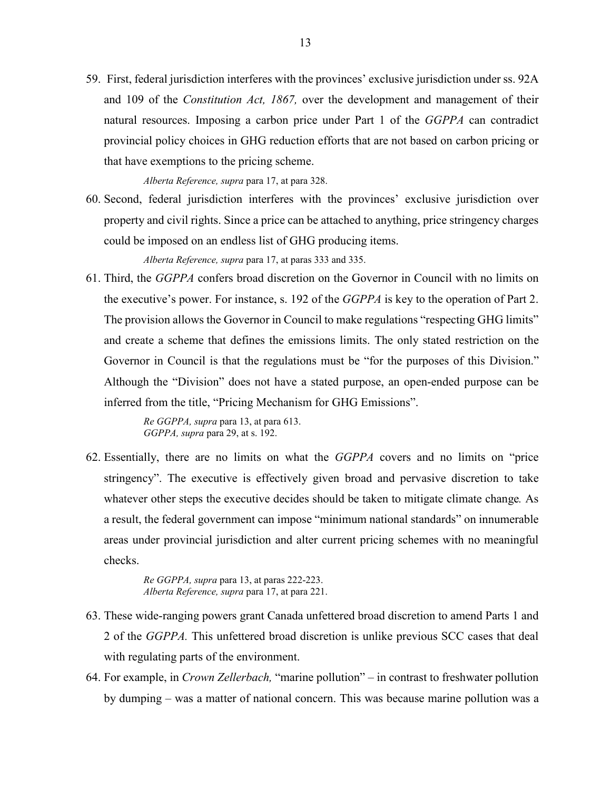59. First, federal jurisdiction interferes with the provinces' exclusive jurisdiction under ss. 92A and 109 of the *Constitution Act, 1867,* over the development and management of their natural resources. Imposing a carbon price under Part 1 of the *GGPPA* can contradict provincial policy choices in GHG reduction efforts that are not based on carbon pricing or that have exemptions to the pricing scheme.

*Alberta Reference, supra* para 17, at para 328.

60. Second, federal jurisdiction interferes with the provinces' exclusive jurisdiction over property and civil rights. Since a price can be attached to anything, price stringency charges could be imposed on an endless list of GHG producing items.

*Alberta Reference, supra* para 17, at paras 333 and 335.

61. Third, the *GGPPA* confers broad discretion on the Governor in Council with no limits on the executive's power. For instance, s. 192 of the *GGPPA* is key to the operation of Part 2. The provision allows the Governor in Council to make regulations "respecting GHG limits" and create a scheme that defines the emissions limits. The only stated restriction on the Governor in Council is that the regulations must be "for the purposes of this Division." Although the "Division" does not have a stated purpose, an open-ended purpose can be inferred from the title, "Pricing Mechanism for GHG Emissions".

> *Re GGPPA, supra* para 13, at para 613. *GGPPA, supra* para 29, at s. 192.

62. Essentially, there are no limits on what the *GGPPA* covers and no limits on "price stringency". The executive is effectively given broad and pervasive discretion to take whatever other steps the executive decides should be taken to mitigate climate change*.* As a result, the federal government can impose "minimum national standards" on innumerable areas under provincial jurisdiction and alter current pricing schemes with no meaningful checks.

> *Re GGPPA, supra* para 13, at paras 222-223. *Alberta Reference, supra* para 17, at para 221.

- 63. These wide-ranging powers grant Canada unfettered broad discretion to amend Parts 1 and 2 of the *GGPPA.* This unfettered broad discretion is unlike previous SCC cases that deal with regulating parts of the environment.
- 64. For example, in *Crown Zellerbach,* "marine pollution" in contrast to freshwater pollution by dumping – was a matter of national concern. This was because marine pollution was a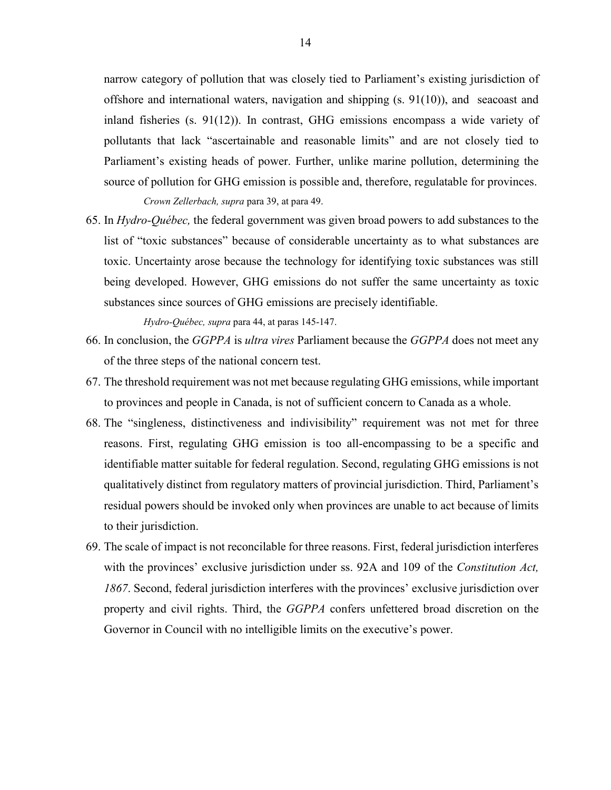narrow category of pollution that was closely tied to Parliament's existing jurisdiction of offshore and international waters, navigation and shipping  $(s. 91(10))$ , and seacoast and inland fisheries (s. 91(12)). In contrast, GHG emissions encompass a wide variety of pollutants that lack "ascertainable and reasonable limits" and are not closely tied to Parliament's existing heads of power. Further, unlike marine pollution, determining the source of pollution for GHG emission is possible and, therefore, regulatable for provinces.

*Crown Zellerbach, supra* para 39, at para 49.

65. In *Hydro-Québec,* the federal government was given broad powers to add substances to the list of "toxic substances" because of considerable uncertainty as to what substances are toxic. Uncertainty arose because the technology for identifying toxic substances was still being developed. However, GHG emissions do not suffer the same uncertainty as toxic substances since sources of GHG emissions are precisely identifiable.

*Hydro-Québec, supra* para 44, at paras 145-147.

- 66. In conclusion, the *GGPPA* is *ultra vires* Parliament because the *GGPPA* does not meet any of the three steps of the national concern test.
- 67. The threshold requirement was not met because regulating GHG emissions, while important to provinces and people in Canada, is not of sufficient concern to Canada as a whole.
- 68. The "singleness, distinctiveness and indivisibility" requirement was not met for three reasons. First, regulating GHG emission is too all-encompassing to be a specific and identifiable matter suitable for federal regulation. Second, regulating GHG emissions is not qualitatively distinct from regulatory matters of provincial jurisdiction. Third, Parliament's residual powers should be invoked only when provinces are unable to act because of limits to their jurisdiction.
- 69. The scale of impact is not reconcilable for three reasons. First, federal jurisdiction interferes with the provinces' exclusive jurisdiction under ss. 92A and 109 of the *Constitution Act, 1867*. Second, federal jurisdiction interferes with the provinces' exclusive jurisdiction over property and civil rights. Third, the *GGPPA* confers unfettered broad discretion on the Governor in Council with no intelligible limits on the executive's power.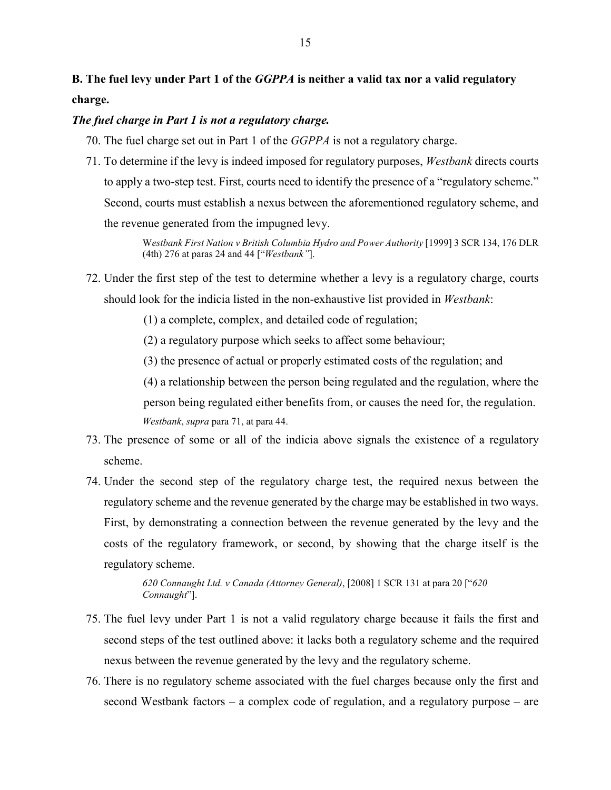<span id="page-18-0"></span>**B. The fuel levy under Part 1 of the** *GGPPA* **is neither a valid tax nor a valid regulatory charge.** 

### <span id="page-18-1"></span>*The fuel charge in Part 1 is not a regulatory charge.*

70. The fuel charge set out in Part 1 of the *GGPPA* is not a regulatory charge.

71. To determine if the levy is indeed imposed for regulatory purposes, *Westbank* directs courts to apply a two-step test. First, courts need to identify the presence of a "regulatory scheme." Second, courts must establish a nexus between the aforementioned regulatory scheme, and the revenue generated from the impugned levy.

> W*estbank First Nation v British Columbia Hydro and Power Authority* [1999] 3 SCR 134, 176 DLR (4th) 276 at paras 24 and 44 ["*Westbank"*].

- 72. Under the first step of the test to determine whether a levy is a regulatory charge, courts should look for the indicia listed in the non-exhaustive list provided in *Westbank*:
	- (1) a complete, complex, and detailed code of regulation;

(2) a regulatory purpose which seeks to affect some behaviour;

(3) the presence of actual or properly estimated costs of the regulation; and

(4) a relationship between the person being regulated and the regulation, where the person being regulated either benefits from, or causes the need for, the regulation. *Westbank*, *supra* para 71, at para 44.

- 73. The presence of some or all of the indicia above signals the existence of a regulatory scheme.
- 74. Under the second step of the regulatory charge test, the required nexus between the regulatory scheme and the revenue generated by the charge may be established in two ways. First, by demonstrating a connection between the revenue generated by the levy and the costs of the regulatory framework, or second, by showing that the charge itself is the regulatory scheme.

*620 Connaught Ltd. v Canada (Attorney General)*, [2008] 1 SCR 131 at para 20 ["*620 Connaught*"].

- 75. The fuel levy under Part 1 is not a valid regulatory charge because it fails the first and second steps of the test outlined above: it lacks both a regulatory scheme and the required nexus between the revenue generated by the levy and the regulatory scheme.
- 76. There is no regulatory scheme associated with the fuel charges because only the first and second Westbank factors – a complex code of regulation, and a regulatory purpose – are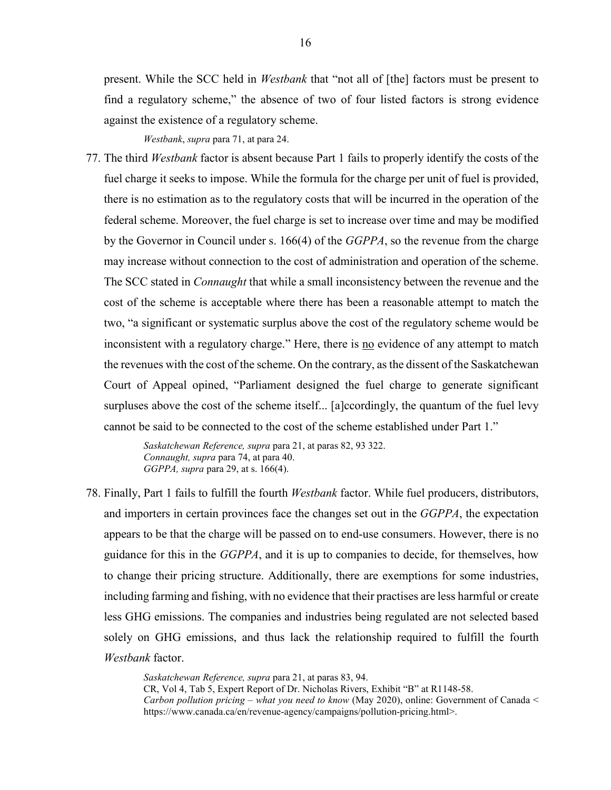present. While the SCC held in *Westbank* that "not all of [the] factors must be present to find a regulatory scheme," the absence of two of four listed factors is strong evidence against the existence of a regulatory scheme.

*Westbank*, *supra* para 71, at para 24.

77. The third *Westbank* factor is absent because Part 1 fails to properly identify the costs of the fuel charge it seeks to impose. While the formula for the charge per unit of fuel is provided, there is no estimation as to the regulatory costs that will be incurred in the operation of the federal scheme. Moreover, the fuel charge is set to increase over time and may be modified by the Governor in Council under s. 166(4) of the *GGPPA*, so the revenue from the charge may increase without connection to the cost of administration and operation of the scheme. The SCC stated in *Connaught* that while a small inconsistency between the revenue and the cost of the scheme is acceptable where there has been a reasonable attempt to match the two, "a significant or systematic surplus above the cost of the regulatory scheme would be inconsistent with a regulatory charge." Here, there is no evidence of any attempt to match the revenues with the cost of the scheme. On the contrary, as the dissent of the Saskatchewan Court of Appeal opined, "Parliament designed the fuel charge to generate significant surpluses above the cost of the scheme itself... [a]ccordingly, the quantum of the fuel levy cannot be said to be connected to the cost of the scheme established under Part 1."

> *Saskatchewan Reference, supra* para 21, at paras 82, 93 322. *Connaught, supra* para 74, at para 40. *GGPPA, supra* para 29, at s. 166(4).

78. Finally, Part 1 fails to fulfill the fourth *Westbank* factor. While fuel producers, distributors, and importers in certain provinces face the changes set out in the *GGPPA*, the expectation appears to be that the charge will be passed on to end-use consumers. However, there is no guidance for this in the *GGPPA*, and it is up to companies to decide, for themselves, how to change their pricing structure. Additionally, there are exemptions for some industries, including farming and fishing, with no evidence that their practises are less harmful or create less GHG emissions. The companies and industries being regulated are not selected based solely on GHG emissions, and thus lack the relationship required to fulfill the fourth *Westbank* factor.

> *Saskatchewan Reference, supra* para 21, at paras 83, 94. CR, Vol 4, Tab 5, Expert Report of Dr. Nicholas Rivers, Exhibit "B" at R1148-58. *Carbon pollution pricing – what you need to know* (May 2020), online: Government of Canada < https://www.canada.ca/en/revenue-agency/campaigns/pollution-pricing.html>.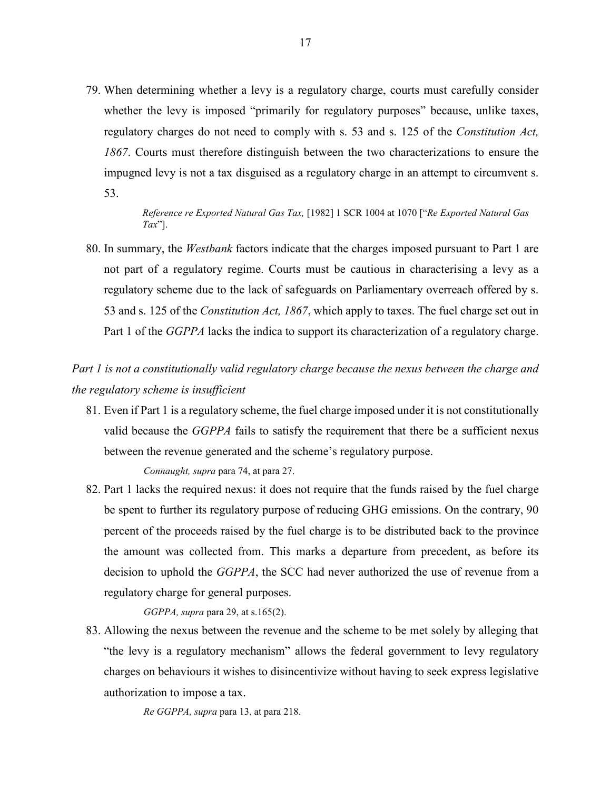79. When determining whether a levy is a regulatory charge, courts must carefully consider whether the levy is imposed "primarily for regulatory purposes" because, unlike taxes, regulatory charges do not need to comply with s. 53 and s. 125 of the *Constitution Act, 1867*. Courts must therefore distinguish between the two characterizations to ensure the impugned levy is not a tax disguised as a regulatory charge in an attempt to circumvent s. 53.

> *Reference re Exported Natural Gas Tax,* [1982] 1 SCR 1004 at 1070 ["*Re Exported Natural Gas Tax*"].

80. In summary, the *Westbank* factors indicate that the charges imposed pursuant to Part 1 are not part of a regulatory regime. Courts must be cautious in characterising a levy as a regulatory scheme due to the lack of safeguards on Parliamentary overreach offered by s. 53 and s. 125 of the *Constitution Act, 1867*, which apply to taxes. The fuel charge set out in Part 1 of the *GGPPA* lacks the indica to support its characterization of a regulatory charge.

# <span id="page-20-0"></span>*Part 1 is not a constitutionally valid regulatory charge because the nexus between the charge and the regulatory scheme is insufficient*

81. Even if Part 1 is a regulatory scheme, the fuel charge imposed under it is not constitutionally valid because the *GGPPA* fails to satisfy the requirement that there be a sufficient nexus between the revenue generated and the scheme's regulatory purpose.

*Connaught, supra* para 74, at para 27.

82. Part 1 lacks the required nexus: it does not require that the funds raised by the fuel charge be spent to further its regulatory purpose of reducing GHG emissions. On the contrary, 90 percent of the proceeds raised by the fuel charge is to be distributed back to the province the amount was collected from. This marks a departure from precedent, as before its decision to uphold the *GGPPA*, the SCC had never authorized the use of revenue from a regulatory charge for general purposes.

#### *GGPPA, supra* para 29, at s.165(2).

83. Allowing the nexus between the revenue and the scheme to be met solely by alleging that "the levy is a regulatory mechanism" allows the federal government to levy regulatory charges on behaviours it wishes to disincentivize without having to seek express legislative authorization to impose a tax.

*Re GGPPA, supra* para 13, at para 218.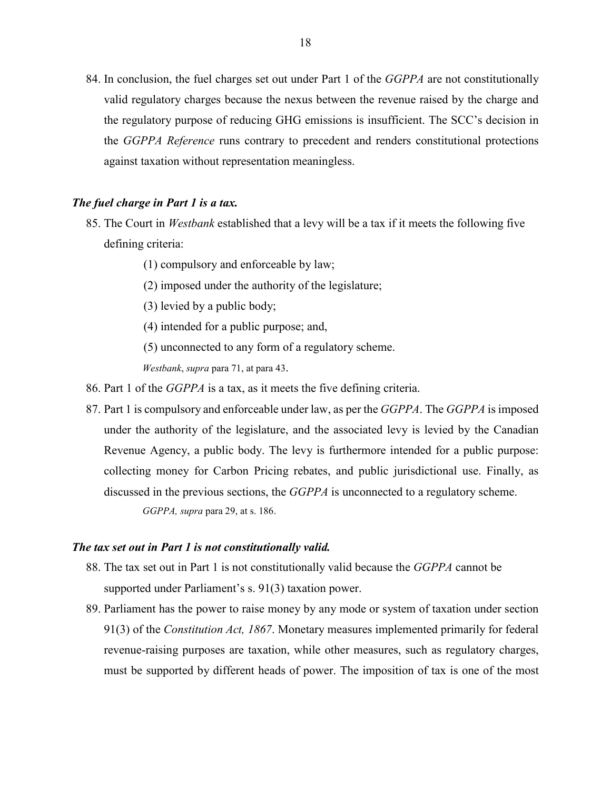84. In conclusion, the fuel charges set out under Part 1 of the *GGPPA* are not constitutionally valid regulatory charges because the nexus between the revenue raised by the charge and the regulatory purpose of reducing GHG emissions is insufficient. The SCC's decision in the *GGPPA Reference* runs contrary to precedent and renders constitutional protections against taxation without representation meaningless.

### <span id="page-21-0"></span>*The fuel charge in Part 1 is a tax.*

- 85. The Court in *Westbank* established that a levy will be a tax if it meets the following five defining criteria:
	- (1) compulsory and enforceable by law;
	- (2) imposed under the authority of the legislature;
	- (3) levied by a public body;
	- (4) intended for a public purpose; and,
	- (5) unconnected to any form of a regulatory scheme.

*Westbank*, *supra* para 71, at para 43.

- 86. Part 1 of the *GGPPA* is a tax, as it meets the five defining criteria.
- 87. Part 1 is compulsory and enforceable under law, as per the *GGPPA*. The *GGPPA* is imposed under the authority of the legislature, and the associated levy is levied by the Canadian Revenue Agency, a public body. The levy is furthermore intended for a public purpose: collecting money for Carbon Pricing rebates, and public jurisdictional use. Finally, as discussed in the previous sections, the *GGPPA* is unconnected to a regulatory scheme. *GGPPA, supra* para 29, at s. 186.

#### <span id="page-21-1"></span>*The tax set out in Part 1 is not constitutionally valid.*

- 88. The tax set out in Part 1 is not constitutionally valid because the *GGPPA* cannot be supported under Parliament's s. 91(3) taxation power.
- 89. Parliament has the power to raise money by any mode or system of taxation under section 91(3) of the *Constitution Act, 1867*. Monetary measures implemented primarily for federal revenue-raising purposes are taxation, while other measures, such as regulatory charges, must be supported by different heads of power. The imposition of tax is one of the most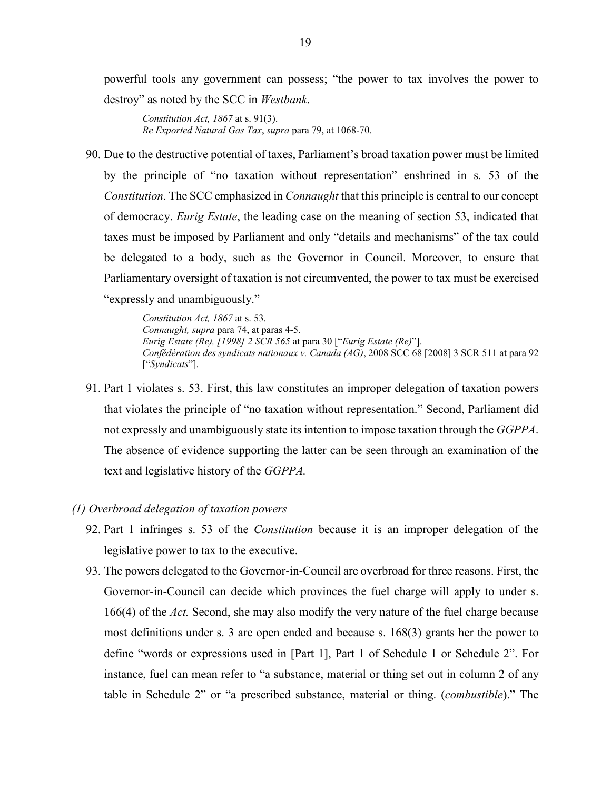powerful tools any government can possess; "the power to tax involves the power to destroy" as noted by the SCC in *Westbank*.

*Constitution Act, 1867* at s. 91(3). *Re Exported Natural Gas Tax*, *supra* para 79, at 1068-70.

90. Due to the destructive potential of taxes, Parliament's broad taxation power must be limited by the principle of "no taxation without representation" enshrined in s. 53 of the *Constitution*. The SCC emphasized in *Connaught* that this principle is central to our concept of democracy. *Eurig Estate*, the leading case on the meaning of section 53, indicated that taxes must be imposed by Parliament and only "details and mechanisms" of the tax could be delegated to a body, such as the Governor in Council. Moreover, to ensure that Parliamentary oversight of taxation is not circumvented, the power to tax must be exercised "expressly and unambiguously."

> *Constitution Act, 1867* at s. 53. *Connaught, supra* para 74, at paras 4-5. *Eurig Estate (Re), [1998] 2 SCR 565* at para 30 ["*Eurig Estate (Re)*"]. *Confédération des syndicats nationaux v. Canada (AG)*, 2008 SCC 68 [2008] 3 SCR 511 at para 92 ["*Syndicats*"].

91. Part 1 violates s. 53. First, this law constitutes an improper delegation of taxation powers that violates the principle of "no taxation without representation." Second, Parliament did not expressly and unambiguously state its intention to impose taxation through the *GGPPA*. The absence of evidence supporting the latter can be seen through an examination of the text and legislative history of the *GGPPA.*

### <span id="page-22-0"></span>*(1) Overbroad delegation of taxation powers*

- 92. Part 1 infringes s. 53 of the *Constitution* because it is an improper delegation of the legislative power to tax to the executive.
- 93. The powers delegated to the Governor-in-Council are overbroad for three reasons. First, the Governor-in-Council can decide which provinces the fuel charge will apply to under s. 166(4) of the *Act.* Second, she may also modify the very nature of the fuel charge because most definitions under s. 3 are open ended and because s. 168(3) grants her the power to define "words or expressions used in [Part 1], Part 1 of Schedule 1 or Schedule 2". For instance, fuel can mean refer to "a substance, material or thing set out in column 2 of any table in Schedule 2" or "a prescribed substance, material or thing. (*combustible*)." The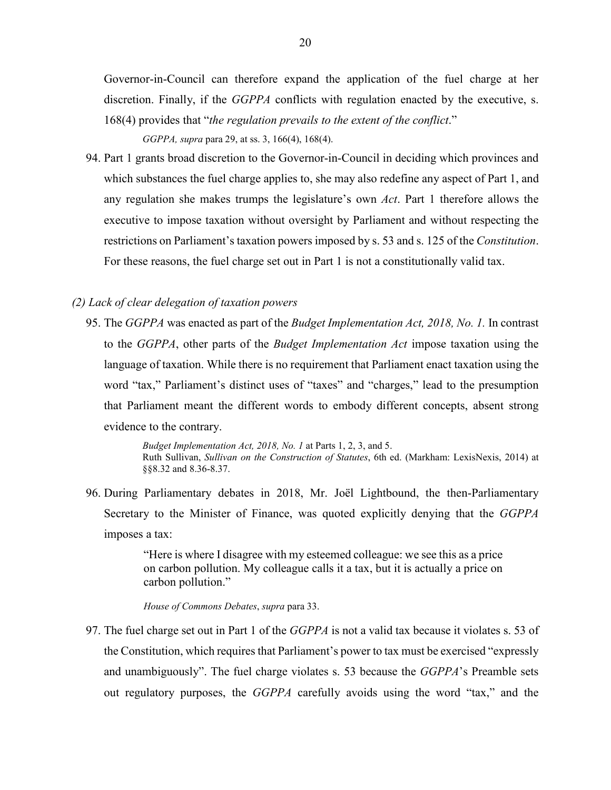Governor-in-Council can therefore expand the application of the fuel charge at her discretion. Finally, if the *GGPPA* conflicts with regulation enacted by the executive, s. 168(4) provides that "*the regulation prevails to the extent of the conflict*."

*GGPPA, supra* para 29, at ss. 3, 166(4), 168(4).

94. Part 1 grants broad discretion to the Governor-in-Council in deciding which provinces and which substances the fuel charge applies to, she may also redefine any aspect of Part 1, and any regulation she makes trumps the legislature's own *Act*. Part 1 therefore allows the executive to impose taxation without oversight by Parliament and without respecting the restrictions on Parliament's taxation powers imposed by s. 53 and s. 125 of the *Constitution*. For these reasons, the fuel charge set out in Part 1 is not a constitutionally valid tax.

### <span id="page-23-0"></span>*(2) Lack of clear delegation of taxation powers*

95. The *GGPPA* was enacted as part of the *Budget Implementation Act, 2018, No. 1.* In contrast to the *GGPPA*, other parts of the *Budget Implementation Act* impose taxation using the language of taxation. While there is no requirement that Parliament enact taxation using the word "tax," Parliament's distinct uses of "taxes" and "charges," lead to the presumption that Parliament meant the different words to embody different concepts, absent strong evidence to the contrary.

> *Budget Implementation Act, 2018, No. 1* at Parts 1, 2, 3, and 5. Ruth Sullivan, *Sullivan on the Construction of Statutes*, 6th ed. (Markham: LexisNexis, 2014) at §§8.32 and 8.36-8.37.

96. During Parliamentary debates in 2018, Mr. Joël Lightbound, the then-Parliamentary Secretary to the Minister of Finance, was quoted explicitly denying that the *GGPPA*  imposes a tax:

> "Here is where I disagree with my esteemed colleague: we see this as a price on carbon pollution. My colleague calls it a tax, but it is actually a price on carbon pollution."

*House of Commons Debates*, *supra* para 33.

97. The fuel charge set out in Part 1 of the *GGPPA* is not a valid tax because it violates s. 53 of the Constitution, which requires that Parliament's power to tax must be exercised "expressly and unambiguously". The fuel charge violates s. 53 because the *GGPPA*'s Preamble sets out regulatory purposes, the *GGPPA* carefully avoids using the word "tax," and the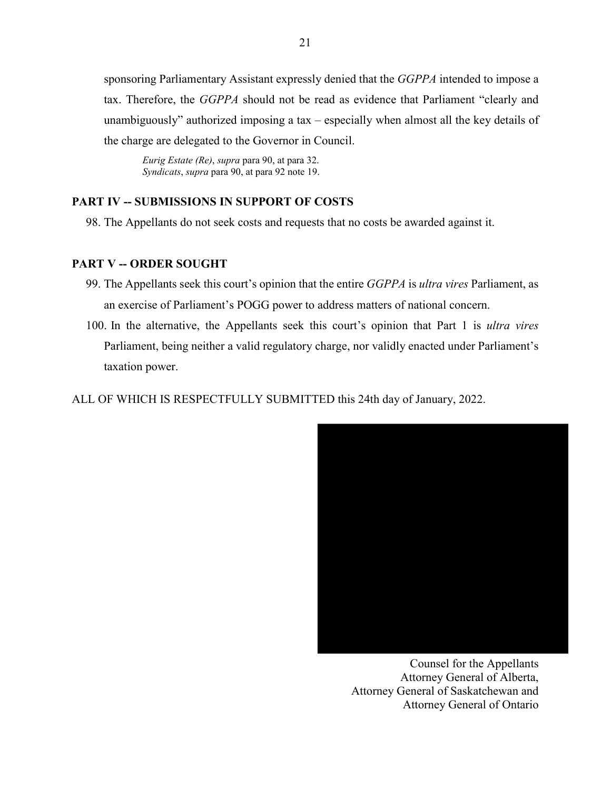sponsoring Parliamentary Assistant expressly denied that the *GGPPA* intended to impose a tax. Therefore, the *GGPPA* should not be read as evidence that Parliament "clearly and unambiguously" authorized imposing a tax – especially when almost all the key details of the charge are delegated to the Governor in Council.

*Eurig Estate (Re)*, *supra* para 90, at para 32. *Syndicats*, *supra* para 90, at para 92 note 19.

### <span id="page-24-0"></span>**PART IV -- SUBMISSIONS IN SUPPORT OF COSTS**

98. The Appellants do not seek costs and requests that no costs be awarded against it.

### <span id="page-24-1"></span>**PART V -- ORDER SOUGHT**

- 99. The Appellants seek this court's opinion that the entire *GGPPA* is *ultra vires* Parliament, as an exercise of Parliament's POGG power to address matters of national concern.
- 100. In the alternative, the Appellants seek this court's opinion that Part 1 is *ultra vires* Parliament, being neither a valid regulatory charge, nor validly enacted under Parliament's taxation power.

ALL OF WHICH IS RESPECTFULLY SUBMITTED this 24th day of January, 2022.



Counsel for the Appellants Attorney General of Alberta, Attorney General of Saskatchewan and Attorney General of Ontario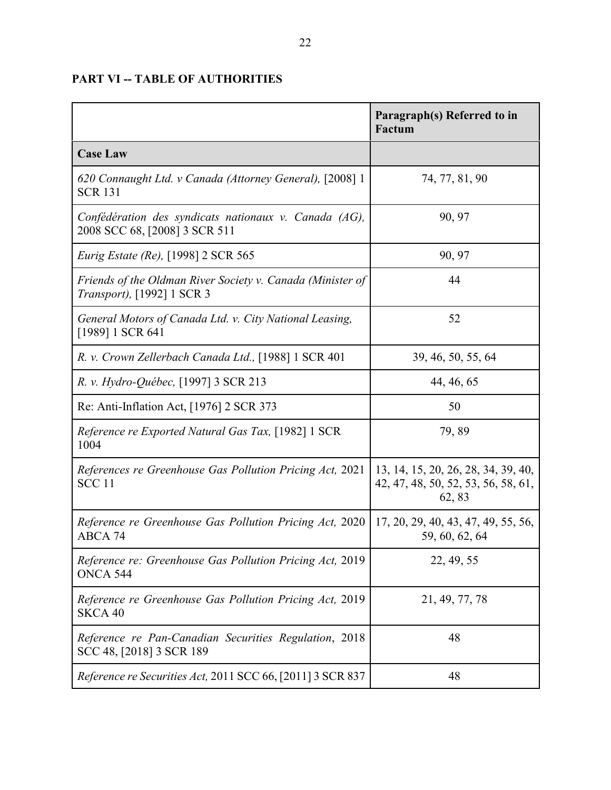# <span id="page-25-0"></span>**PART VI -- TABLE OF AUTHORITIES**

|                                                                                                  | Paragraph(s) Referred to in<br>Factum                                                |
|--------------------------------------------------------------------------------------------------|--------------------------------------------------------------------------------------|
| <b>Case Law</b>                                                                                  |                                                                                      |
| 620 Connaught Ltd. v Canada (Attorney General), [2008] 1<br><b>SCR 131</b>                       | 74, 77, 81, 90                                                                       |
| Confédération des syndicats nationaux v. Canada (AG),<br>2008 SCC 68, [2008] 3 SCR 511           | 90, 97                                                                               |
| Eurig Estate (Re), [1998] 2 SCR 565                                                              | 90, 97                                                                               |
| Friends of the Oldman River Society v. Canada (Minister of<br><i>Transport</i> ), [1992] 1 SCR 3 | 44                                                                                   |
| General Motors of Canada Ltd. v. City National Leasing,<br>[1989] 1 SCR 641                      | 52                                                                                   |
| R. v. Crown Zellerbach Canada Ltd., [1988] 1 SCR 401                                             | 39, 46, 50, 55, 64                                                                   |
| R. v. Hydro-Québec, [1997] 3 SCR 213                                                             | 44, 46, 65                                                                           |
| Re: Anti-Inflation Act, [1976] 2 SCR 373                                                         | 50                                                                                   |
| Reference re Exported Natural Gas Tax, [1982] 1 SCR<br>1004                                      | 79,89                                                                                |
| References re Greenhouse Gas Pollution Pricing Act, 2021<br>SCC <sub>11</sub>                    | 13, 14, 15, 20, 26, 28, 34, 39, 40,<br>42, 47, 48, 50, 52, 53, 56, 58, 61,<br>62, 83 |
| Reference re Greenhouse Gas Pollution Pricing Act, 2020<br>ABCA 74                               | 17, 20, 29, 40, 43, 47, 49, 55, 56,<br>59, 60, 62, 64                                |
| Reference re: Greenhouse Gas Pollution Pricing Act, 2019<br>ONCA 544                             | 22, 49, 55                                                                           |
| Reference re Greenhouse Gas Pollution Pricing Act, 2019<br>SKCA 40                               | 21, 49, 77, 78                                                                       |
| Reference re Pan-Canadian Securities Regulation, 2018<br>SCC 48, [2018] 3 SCR 189                | 48                                                                                   |
| Reference re Securities Act, 2011 SCC 66, [2011] 3 SCR 837                                       | 48                                                                                   |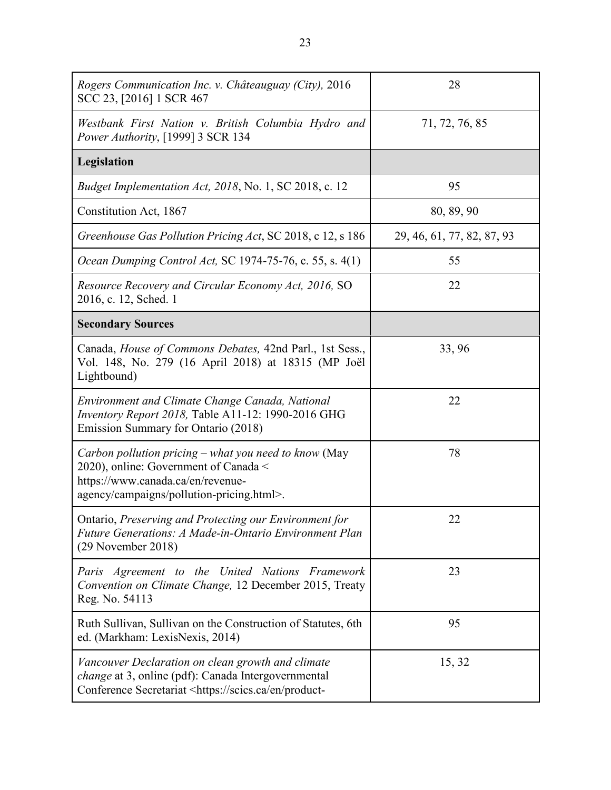| Rogers Communication Inc. v. Châteauguay (City), 2016<br>SCC 23, [2016] 1 SCR 467                                                                                                                        | 28                         |
|----------------------------------------------------------------------------------------------------------------------------------------------------------------------------------------------------------|----------------------------|
| Westbank First Nation v. British Columbia Hydro and<br>Power Authority, [1999] 3 SCR 134                                                                                                                 | 71, 72, 76, 85             |
| Legislation                                                                                                                                                                                              |                            |
| <i>Budget Implementation Act, 2018, No. 1, SC 2018, c. 12</i>                                                                                                                                            | 95                         |
| Constitution Act, 1867                                                                                                                                                                                   | 80, 89, 90                 |
| Greenhouse Gas Pollution Pricing Act, SC 2018, c 12, s 186                                                                                                                                               | 29, 46, 61, 77, 82, 87, 93 |
| Ocean Dumping Control Act, SC 1974-75-76, c. 55, s. 4(1)                                                                                                                                                 | 55                         |
| Resource Recovery and Circular Economy Act, 2016, SO<br>2016, c. 12, Sched. 1                                                                                                                            | 22                         |
| <b>Secondary Sources</b>                                                                                                                                                                                 |                            |
| Canada, House of Commons Debates, 42nd Parl., 1st Sess.,<br>Vol. 148, No. 279 (16 April 2018) at 18315 (MP Joël<br>Lightbound)                                                                           | 33, 96                     |
| Environment and Climate Change Canada, National<br>Inventory Report 2018, Table A11-12: 1990-2016 GHG<br>Emission Summary for Ontario (2018)                                                             | 22                         |
| Carbon pollution pricing – what you need to know (May<br>2020), online: Government of Canada <<br>https://www.canada.ca/en/revenue-<br>agency/campaigns/pollution-pricing.html>.                         | 78                         |
| Ontario, Preserving and Protecting our Environment for<br><b>Future Generations: A Made-in-Ontario Environment Plan</b><br>$(29$ November 2018)                                                          | 22                         |
| Paris Agreement to the United Nations Framework<br>Convention on Climate Change, 12 December 2015, Treaty<br>Reg. No. 54113                                                                              | 23                         |
| Ruth Sullivan, Sullivan on the Construction of Statutes, 6th<br>ed. (Markham: LexisNexis, 2014)                                                                                                          | 95                         |
| Vancouver Declaration on clean growth and climate<br>change at 3, online (pdf): Canada Intergovernmental<br>Conference Secretariat <https: en="" product-<="" scics.ca="" td=""><td>15, 32</td></https:> | 15, 32                     |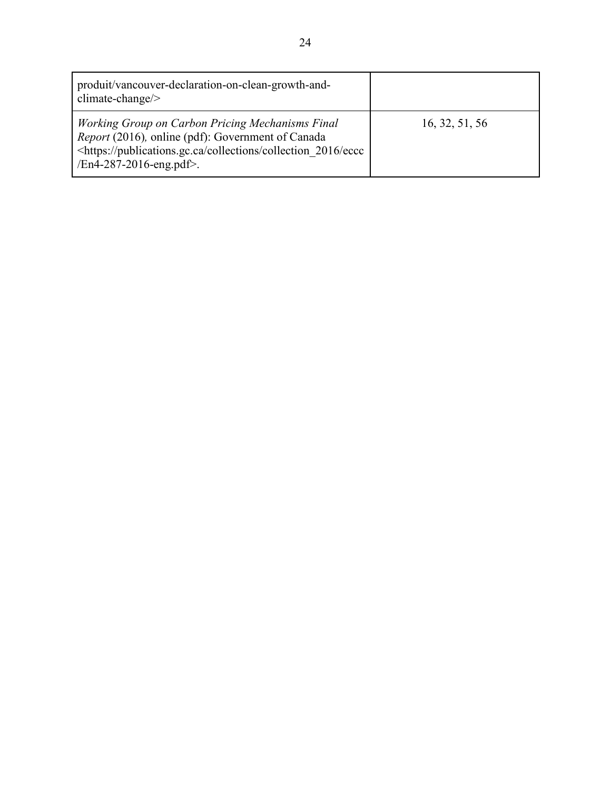| produit/vancouver-declaration-on-clean-growth-and-<br>climate-change/>                                                                                                                                                                         |                |
|------------------------------------------------------------------------------------------------------------------------------------------------------------------------------------------------------------------------------------------------|----------------|
| Working Group on Carbon Pricing Mechanisms Final<br><i>Report</i> (2016), online (pdf): Government of Canada<br><https: 2016="" collection="" collections="" eccc<br="" publications.gc.ca=""><math>/En4-287-2016</math>-eng.pdf&gt;.</https:> | 16, 32, 51, 56 |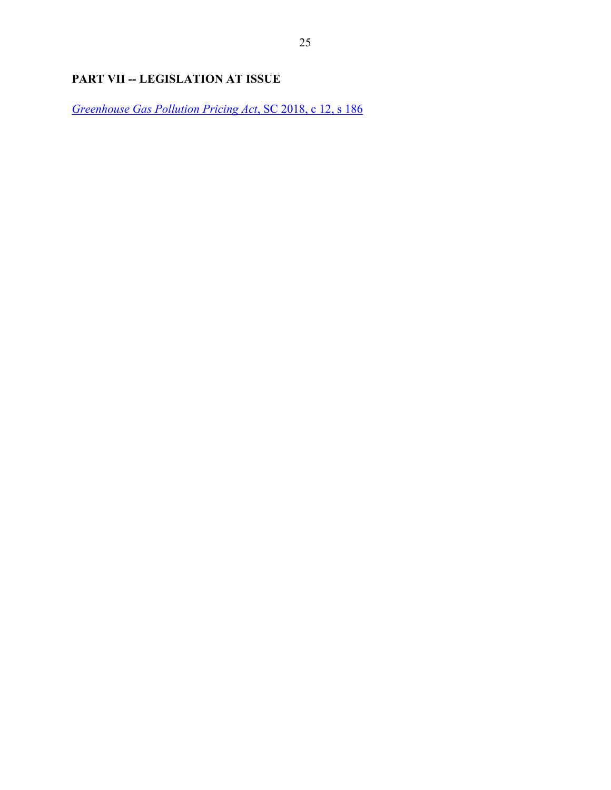# <span id="page-28-0"></span>**PART VII -- LEGISLATION AT ISSUE**

*[Greenhouse Gas Pollution Pricing Act](https://laws-lois.justice.gc.ca/eng/acts/G-11.55/)*, SC 2018, c 12, s 186